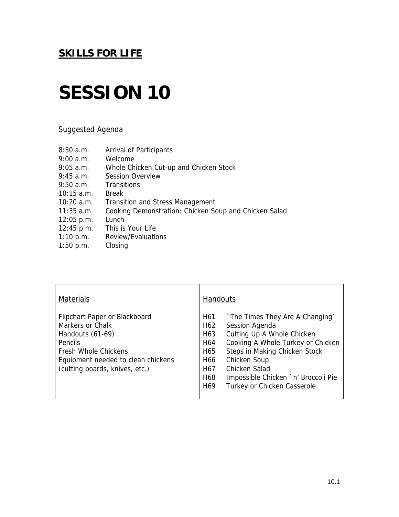## **SESSION 10**

### Suggested Agenda

| 8:30a.m.     | Arrival of Participants                               |
|--------------|-------------------------------------------------------|
| 9:00 a.m.    | Welcome                                               |
| $9:05$ a.m.  | Whole Chicken Cut-up and Chicken Stock                |
| $9:45$ a.m.  | <b>Session Overview</b>                               |
| $9:50$ a.m.  | Transitions                                           |
| $10:15$ a.m. | <b>Break</b>                                          |
| $10:20$ a.m. | <b>Transition and Stress Management</b>               |
| $11:35$ a.m. | Cooking Demonstration: Chicken Soup and Chicken Salad |
| $12:05$ p.m. | Lunch                                                 |
| 12:45 p.m.   | This is Your Life                                     |
| 1:10 p.m.    | Review/Evaluations                                    |
| 1:50 p.m.    | Closing                                               |
|              |                                                       |

| <b>Materials</b>                                                                                                                                                                               | <b>Handouts</b>                                                                                                                                                                                                                                                                                                                         |  |
|------------------------------------------------------------------------------------------------------------------------------------------------------------------------------------------------|-----------------------------------------------------------------------------------------------------------------------------------------------------------------------------------------------------------------------------------------------------------------------------------------------------------------------------------------|--|
| Flipchart Paper or Blackboard<br>Markers or Chalk<br>Handouts (61-69)<br><b>Pencils</b><br><b>Fresh Whole Chickens</b><br>Equipment needed to clean chickens<br>(cutting boards, knives, etc.) | `The Times They Are A Changing'<br>H61<br>H62<br>Session Agenda<br>Cutting Up A Whole Chicken<br>H63<br>Cooking A Whole Turkey or Chicken<br>H64<br>Steps in Making Chicken Stock<br>H65<br>H66<br>Chicken Soup<br>Chicken Salad<br>H67<br>H68<br>Impossible Chicken `n' Broccoli Pie<br>Turkey or Chicken Casserole<br>H <sub>69</sub> |  |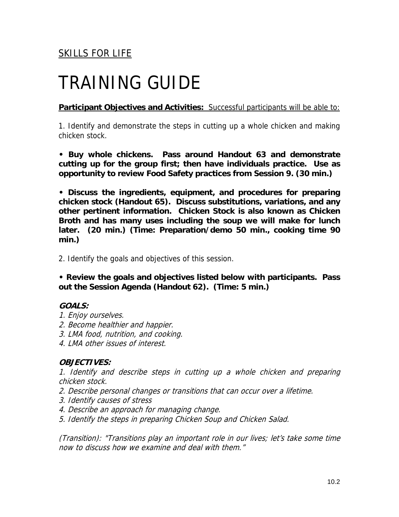## TRAINING GUIDE

**Participant Objectives and Activities:** Successful participants will be able to:

1. Identify and demonstrate the steps in cutting up a whole chicken and making chicken stock.

**• Buy whole chickens. Pass around Handout 63 and demonstrate cutting up for the group first; then have individuals practice. Use as opportunity to review Food Safety practices from Session 9. (30 min.)** 

**• Discuss the ingredients, equipment, and procedures for preparing chicken stock (Handout 65). Discuss substitutions, variations, and any other pertinent information. Chicken Stock is also known as Chicken Broth and has many uses including the soup we will make for lunch later. (20 min.) (Time: Preparation/demo 50 min., cooking time 90 min.)** 

2. Identify the goals and objectives of this session.

**• Review the goals and objectives listed below with participants. Pass out the Session Agenda (Handout 62). (Time: 5 min.)** 

### **GOALS:**

- 1. Enjoy ourselves.
- 2. Become healthier and happier.
- 3. LMA food, nutrition, and cooking.
- 4. LMA other issues of interest.

### **OBJECTIVES:**

1. Identify and describe steps in cutting up a whole chicken and preparing chicken stock.

- 2. Describe personal changes or transitions that can occur over a lifetime.
- 3. Identify causes of stress
- 4. Describe an approach for managing change.
- 5. Identify the steps in preparing Chicken Soup and Chicken Salad.

(Transition): "Transitions play an important role in our lives; let's take some time now to discuss how we examine and deal with them."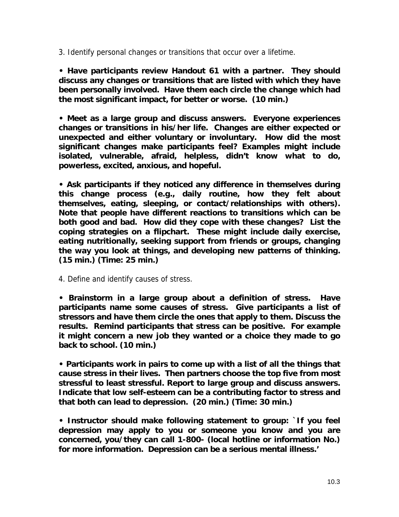3. Identify personal changes or transitions that occur over a lifetime.

**• Have participants review Handout 61 with a partner. They should discuss any changes or transitions that are listed with which they have been personally involved. Have them each circle the change which had the most significant impact, for better or worse. (10 min.)** 

**• Meet as a large group and discuss answers. Everyone experiences changes or transitions in his/her life. Changes are either expected or unexpected and either voluntary or involuntary. How did the most significant changes make participants feel? Examples might include isolated, vulnerable, afraid, helpless, didn't know what to do, powerless, excited, anxious, and hopeful.** 

**• Ask participants if they noticed any difference in themselves during this change process (e.g., daily routine, how they felt about themselves, eating, sleeping, or contact/relationships with others). Note that people have different reactions to transitions which can be both good and bad. How did they cope with these changes? List the coping strategies on a flipchart. These might include daily exercise, eating nutritionally, seeking support from friends or groups, changing the way you look at things, and developing new patterns of thinking. (15 min.) (Time: 25 min.)** 

4. Define and identify causes of stress.

**• Brainstorm in a large group about a definition of stress. Have participants name some causes of stress. Give participants a list of stressors and have them circle the ones that apply to them. Discuss the results. Remind participants that stress can be positive. For example it might concern a new job they wanted or a choice they made to go back to school. (10 min.)** 

**• Participants work in pairs to come up with a list of all the things that cause stress in their lives. Then partners choose the top five from most stressful to least stressful. Report to large group and discuss answers. Indicate that low self-esteem can be a contributing factor to stress and that both can lead to depression. (20 min.) (Time: 30 min.)** 

**• Instructor should make following statement to group: `If you feel depression may apply to you or someone you know and you are concerned, you/they can call 1-800- (local hotline or information No.) for more information. Depression can be a serious mental illness.'**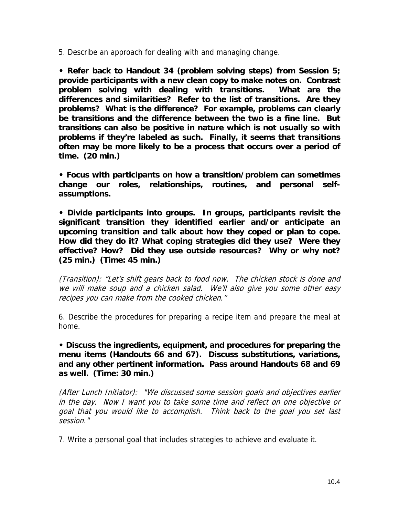5. Describe an approach for dealing with and managing change.

**• Refer back to Handout 34 (problem solving steps) from Session 5; provide participants with a new clean copy to make notes on. Contrast problem solving with dealing with transitions. What are the differences and similarities? Refer to the list of transitions. Are they problems? What is the difference? For example, problems can clearly be transitions and the difference between the two is a fine line. But transitions can also be positive in nature which is not usually so with problems if they're labeled as such. Finally, it seems that transitions often may be more likely to be a process that occurs over a period of time. (20 min.)** 

**• Focus with participants on how a transition/problem can sometimes change our roles, relationships, routines, and personal selfassumptions.** 

**• Divide participants into groups. In groups, participants revisit the significant transition they identified earlier and/or anticipate an upcoming transition and talk about how they coped or plan to cope. How did they do it? What coping strategies did they use? Were they effective? How? Did they use outside resources? Why or why not? (25 min.) (Time: 45 min.)** 

(Transition): "Let's shift gears back to food now. The chicken stock is done and we will make soup and a chicken salad. We'll also give you some other easy recipes you can make from the cooked chicken."

6. Describe the procedures for preparing a recipe item and prepare the meal at home.

**• Discuss the ingredients, equipment, and procedures for preparing the menu items (Handouts 66 and 67). Discuss substitutions, variations, and any other pertinent information. Pass around Handouts 68 and 69 as well. (Time: 30 min.)** 

(After Lunch Initiator): "We discussed some session goals and objectives earlier in the day. Now I want you to take some time and reflect on one objective or goal that you would like to accomplish. Think back to the goal you set last session."

7. Write a personal goal that includes strategies to achieve and evaluate it.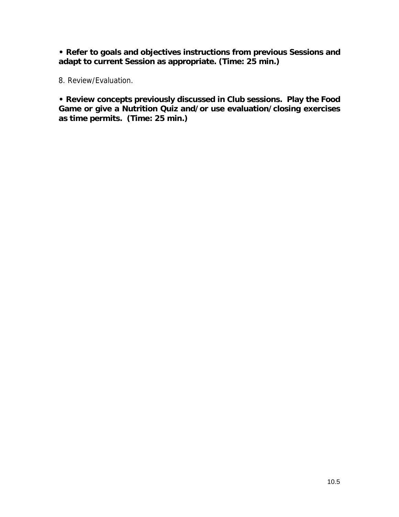**• Refer to goals and objectives instructions from previous Sessions and adapt to current Session as appropriate. (Time: 25 min.)** 

8. Review/Evaluation.

**• Review concepts previously discussed in Club sessions. Play the Food Game or give a Nutrition Quiz and/or use evaluation/closing exercises as time permits. (Time: 25 min.)**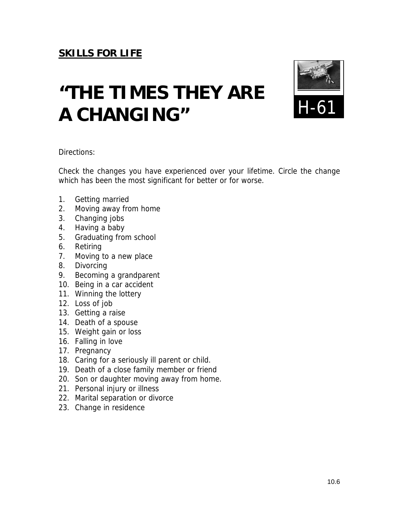# **"THE TIMES THEY ARE A CHANGING"**



Directions:

Check the changes you have experienced over your lifetime. Circle the change which has been the most significant for better or for worse.

- 1. Getting married
- 2. Moving away from home
- 3. Changing jobs
- 4. Having a baby
- 5. Graduating from school
- 6. Retiring
- 7. Moving to a new place
- 8. Divorcing
- 9. Becoming a grandparent
- 10. Being in a car accident
- 11. Winning the lottery
- 12. Loss of job
- 13. Getting a raise
- 14. Death of a spouse
- 15. Weight gain or loss
- 16. Falling in love
- 17. Pregnancy
- 18. Caring for a seriously ill parent or child.
- 19. Death of a close family member or friend
- 20. Son or daughter moving away from home.
- 21. Personal injury or illness
- 22. Marital separation or divorce
- 23. Change in residence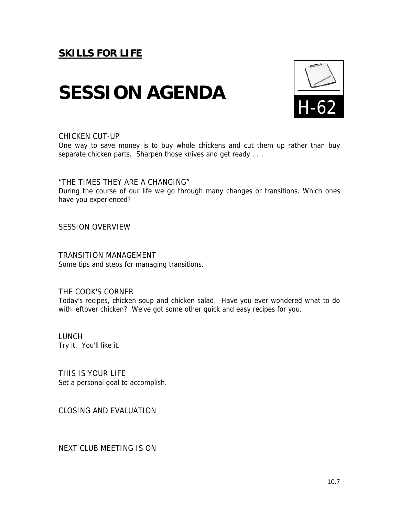## **SESSION AGENDA**



#### CHICKEN CUT-UP

One way to save money is to buy whole chickens and cut them up rather than buy separate chicken parts. Sharpen those knives and get ready . . .

"THE TIMES THEY ARE A CHANGING"

During the course of our life we go through many changes or transitions. Which ones have you experienced?

SESSION OVERVIEW

TRANSITION MANAGEMENT Some tips and steps for managing transitions.

### THE COOK'S CORNER

Today's recipes, chicken soup and chicken salad. Have you ever wondered what to do with leftover chicken? We've got some other quick and easy recipes for you.

LUNCH Try it. You'll like it.

THIS IS YOUR LIFE Set a personal goal to accomplish.

CLOSING AND EVALUATION

NEXT CLUB MEETING IS ON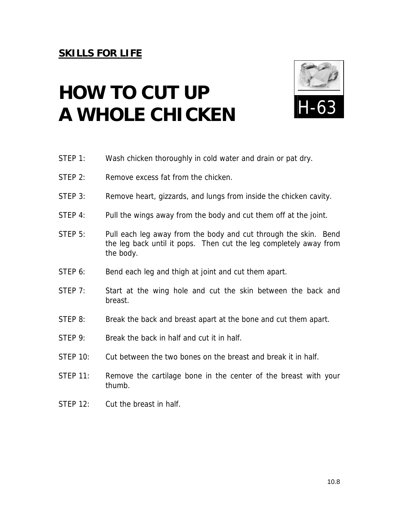# **HOW TO CUT UP A WHOLE CHICKEN**



- STEP 1: Wash chicken thoroughly in cold water and drain or pat dry.
- STFP 2: Remove excess fat from the chicken.
- STEP 3: Remove heart, gizzards, and lungs from inside the chicken cavity.
- STEP 4: Pull the wings away from the body and cut them off at the joint.
- STEP 5: Pull each leg away from the body and cut through the skin. Bend the leg back until it pops. Then cut the leg completely away from the body.
- STEP 6: Bend each leg and thigh at joint and cut them apart.
- STEP 7: Start at the wing hole and cut the skin between the back and breast.
- STEP 8: Break the back and breast apart at the bone and cut them apart.
- STEP 9: Break the back in half and cut it in half.
- STEP 10: Cut between the two bones on the breast and break it in half.
- STEP 11: Remove the cartilage bone in the center of the breast with your thumb.
- STEP 12: Cut the breast in half.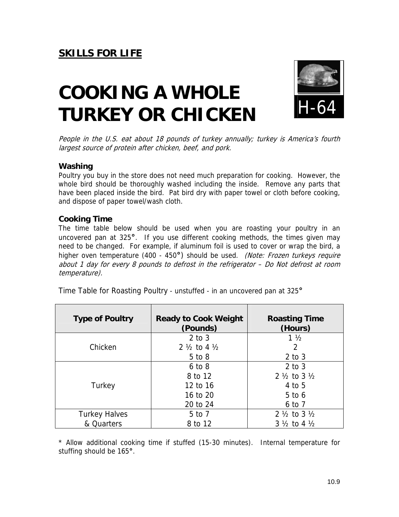# **COOKING A WHOLE TURKEY OR CHICKEN**



People in the U.S. eat about 18 pounds of turkey annually; turkey is America's fourth largest source of protein after chicken, beef, and pork.

### **Washing**

Poultry you buy in the store does not need much preparation for cooking. However, the whole bird should be thoroughly washed including the inside. Remove any parts that have been placed inside the bird. Pat bird dry with paper towel or cloth before cooking, and dispose of paper towel/wash cloth.

### **Cooking Time**

The time table below should be used when you are roasting your poultry in an uncovered pan at 325**°**. If you use different cooking methods, the times given may need to be changed. For example, if aluminum foil is used to cover or wrap the bird, a higher oven temperature (400 - 450**°**) should be used. (Note: Frozen turkeys require about 1 day for every 8 pounds to defrost in the refrigerator – Do Not defrost at room temperature).

| Time Table for Roasting Poultry - unstuffed - in an uncovered pan at 325° |
|---------------------------------------------------------------------------|
|---------------------------------------------------------------------------|

| <b>Type of Poultry</b> | <b>Ready to Cook Weight</b><br>(Pounds) | <b>Roasting Time</b><br>(Hours)   |
|------------------------|-----------------------------------------|-----------------------------------|
|                        | $2$ to $3$                              | $1\frac{1}{2}$                    |
| Chicken                | 2 $\frac{1}{2}$ to 4 $\frac{1}{2}$      | 2                                 |
|                        | $5$ to $8$                              | $2$ to $3$                        |
|                        | $6$ to $8$                              | $2$ to $3$                        |
|                        | 8 to 12                                 | $2\frac{1}{2}$ to $3\frac{1}{2}$  |
| Turkey                 | 12 to 16                                | 4 to 5                            |
|                        | 16 to 20                                | $5$ to 6                          |
|                        | 20 to 24                                | 6 to 7                            |
| <b>Turkey Halves</b>   | 5 to 7                                  | $2\frac{1}{2}$ to $3\frac{1}{2}$  |
| & Quarters             | 8 to 12                                 | $3\frac{1}{2}$ to 4 $\frac{1}{2}$ |

\* Allow additional cooking time if stuffed (15-30 minutes). Internal temperature for stuffing should be 165**°**.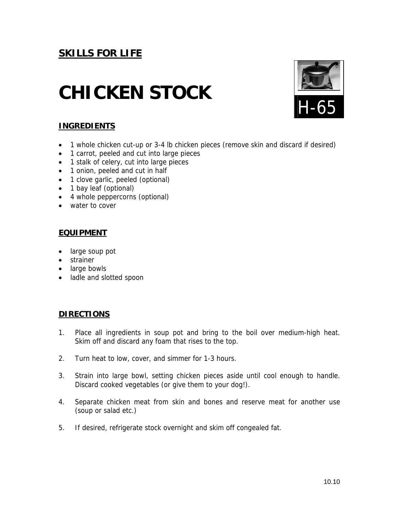# **CHICKEN STOCK**



### **INGREDIENTS**

- 1 whole chicken cut-up or 3-4 lb chicken pieces (remove skin and discard if desired)
- 1 carrot, peeled and cut into large pieces
- 1 stalk of celery, cut into large pieces
- 1 onion, peeled and cut in half
- 1 clove garlic, peeled (optional)
- 1 bay leaf (optional)
- 4 whole peppercorns (optional)
- water to cover

### **EQUIPMENT**

- large soup pot
- strainer
- large bowls
- ladle and slotted spoon

### **DIRECTIONS**

- 1. Place all ingredients in soup pot and bring to the boil over medium-high heat. Skim off and discard any foam that rises to the top.
- 2. Turn heat to low, cover, and simmer for 1-3 hours.
- 3. Strain into large bowl, setting chicken pieces aside until cool enough to handle. Discard cooked vegetables (or give them to your dog!).
- 4. Separate chicken meat from skin and bones and reserve meat for another use (soup or salad etc.)
- 5. If desired, refrigerate stock overnight and skim off congealed fat.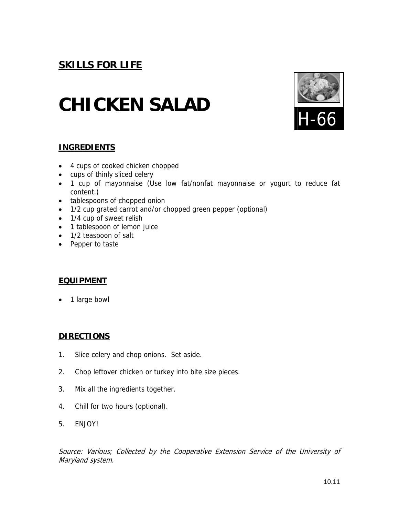## **CHICKEN SALAD**



### **INGREDIENTS**

- 4 cups of cooked chicken chopped
- cups of thinly sliced celery
- 1 cup of mayonnaise (Use low fat/nonfat mayonnaise or yogurt to reduce fat content.)
- tablespoons of chopped onion
- 1/2 cup grated carrot and/or chopped green pepper (optional)
- 1/4 cup of sweet relish
- 1 tablespoon of lemon juice
- 1/2 teaspoon of salt
- Pepper to taste

### **EQUIPMENT**

• 1 large bowl

### **DIRECTIONS**

- 1. Slice celery and chop onions. Set aside.
- 2. Chop leftover chicken or turkey into bite size pieces.
- 3. Mix all the ingredients together.
- 4. Chill for two hours (optional).
- 5. ENJOY!

Source: Various; Collected by the Cooperative Extension Service of the University of Maryland system.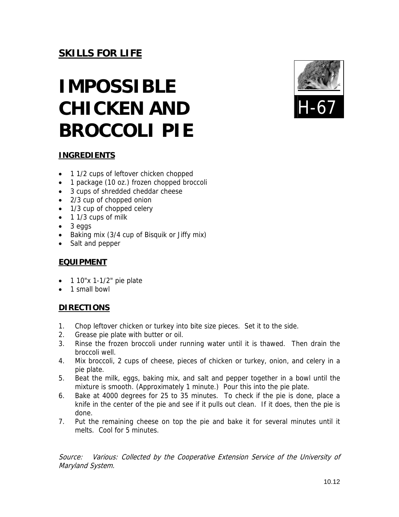# **IMPOSSIBLE CHICKEN AND BROCCOLI PIE**



### **INGREDIENTS**

- 1 1/2 cups of leftover chicken chopped
- 1 package (10 oz.) frozen chopped broccoli
- 3 cups of shredded cheddar cheese
- 2/3 cup of chopped onion
- 1/3 cup of chopped celery
- 1 1/3 cups of milk
- 3 eggs
- Baking mix (3/4 cup of Bisquik or Jiffy mix)
- Salt and pepper

### **EQUIPMENT**

- $\bullet$  1 10"x 1-1/2" pie plate
- 1 small bowl

### **DIRECTIONS**

- 1. Chop leftover chicken or turkey into bite size pieces. Set it to the side.
- 2. Grease pie plate with butter or oil.
- 3. Rinse the frozen broccoli under running water until it is thawed. Then drain the broccoli well.
- 4. Mix broccoli, 2 cups of cheese, pieces of chicken or turkey, onion, and celery in a pie plate.
- 5. Beat the milk, eggs, baking mix, and salt and pepper together in a bowl until the mixture is smooth. (Approximately 1 minute.) Pour this into the pie plate.
- 6. Bake at 4000 degrees for 25 to 35 minutes. To check if the pie is done, place a knife in the center of the pie and see if it pulls out clean. If it does, then the pie is done.
- 7. Put the remaining cheese on top the pie and bake it for several minutes until it melts. Cool for 5 minutes.

Source: Various: Collected by the Cooperative Extension Service of the University of Maryland System.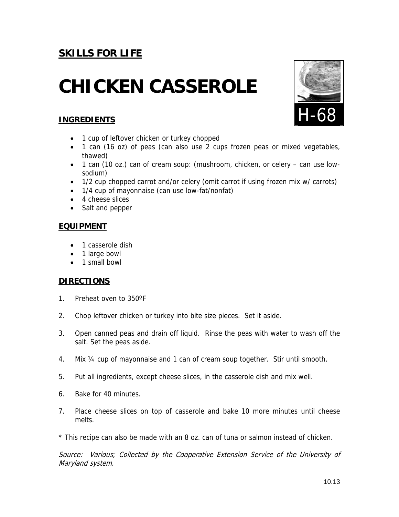## **CHICKEN CASSEROLE**

### **INGREDIENTS**

- 1 cup of leftover chicken or turkey chopped
- 1 can (16 oz) of peas (can also use 2 cups frozen peas or mixed vegetables, thawed)
- 1 can (10 oz.) can of cream soup: (mushroom, chicken, or celery can use lowsodium)
- 1/2 cup chopped carrot and/or celery (omit carrot if using frozen mix w/ carrots)
- 1/4 cup of mayonnaise (can use low-fat/nonfat)
- 4 cheese slices
- Salt and pepper

### **EQUIPMENT**

- 1 casserole dish
- 1 large bowl
- 1 small bowl

### **DIRECTIONS**

- 1. Preheat oven to 350ºF
- 2. Chop leftover chicken or turkey into bite size pieces. Set it aside.
- 3. Open canned peas and drain off liquid. Rinse the peas with water to wash off the salt. Set the peas aside.
- 4. Mix ¼ cup of mayonnaise and 1 can of cream soup together. Stir until smooth.
- 5. Put all ingredients, except cheese slices, in the casserole dish and mix well.
- 6. Bake for 40 minutes.
- 7. Place cheese slices on top of casserole and bake 10 more minutes until cheese melts.

\* This recipe can also be made with an 8 oz. can of tuna or salmon instead of chicken.

Source: Various; Collected by the Cooperative Extension Service of the University of Maryland system.